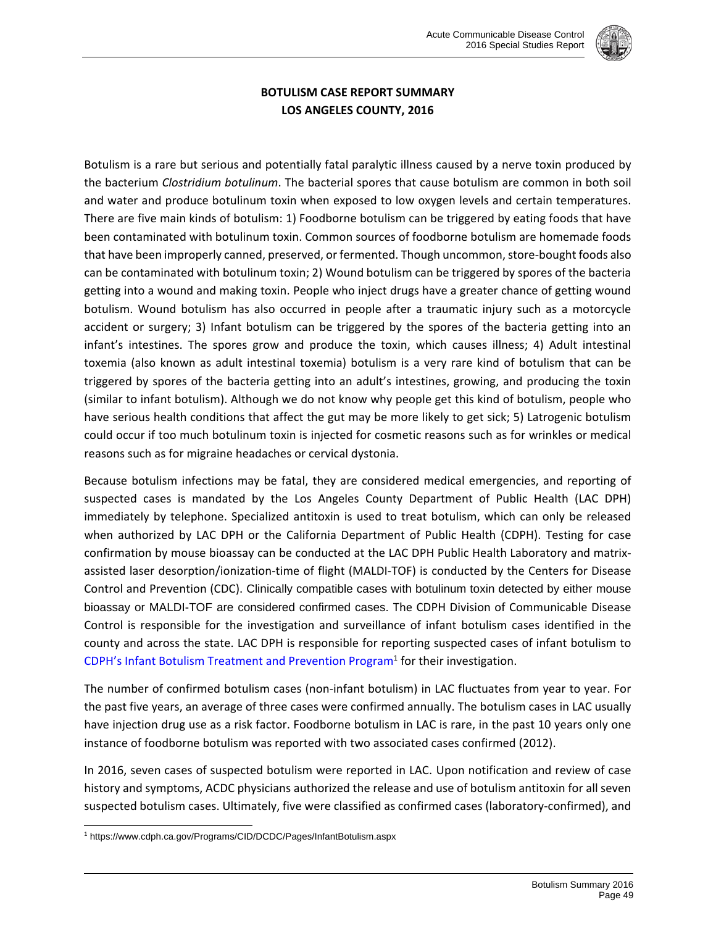

## **BOTULISM CASE REPORT SUMMARY LOS ANGELES COUNTY, 2016**

Botulism is a rare but serious and potentially fatal paralytic illness caused by a nerve toxin produced by the bacterium *Clostridium botulinum*. The bacterial spores that cause botulism are common in both soil and water and produce botulinum toxin when exposed to low oxygen levels and certain temperatures. There are five main kinds of botulism: 1) Foodborne botulism can be triggered by eating foods that have been contaminated with botulinum toxin. Common sources of foodborne botulism are homemade foods that have been improperly canned, preserved, or fermented. Though uncommon, store-bought foods also can be contaminated with botulinum toxin; 2) Wound botulism can be triggered by spores of the bacteria getting into a wound and making toxin. People who inject drugs have a greater chance of getting wound botulism. Wound botulism has also occurred in people after a traumatic injury such as a motorcycle accident or surgery; 3) Infant botulism can be triggered by the spores of the bacteria getting into an infant's intestines. The spores grow and produce the toxin, which causes illness; 4) Adult intestinal toxemia (also known as adult intestinal toxemia) botulism is a very rare kind of botulism that can be triggered by spores of the bacteria getting into an adult's intestines, growing, and producing the toxin (similar to infant botulism). Although we do not know why people get this kind of botulism, people who have serious health conditions that affect the gut may be more likely to get sick; 5) Latrogenic botulism could occur if too much botulinum toxin is injected for cosmetic reasons such as for wrinkles or medical reasons such as for migraine headaches or cervical dystonia.

Because botulism infections may be fatal, they are considered medical emergencies, and reporting of suspected cases is mandated by the Los Angeles County Department of Public Health (LAC DPH) immediately by telephone. Specialized antitoxin is used to treat botulism, which can only be released when authorized by LAC DPH or the California Department of Public Health (CDPH). Testing for case confirmation by mouse bioassay can be conducted at the LAC DPH Public Health Laboratory and matrix‐ assisted laser desorption/ionization‐time of flight (MALDI‐TOF) is conducted by the Centers for Disease Control and Prevention (CDC). Clinically compatible cases with botulinum toxin detected by either mouse bioassay or MALDI-TOF are considered confirmed cases. The CDPH Division of Communicable Disease Control is responsible for the investigation and surveillance of infant botulism cases identified in the county and across the state. LAC DPH is responsible for reporting suspected cases of infant botulism to CDPH's Infant Botulism Treatment and Prevention Program<sup>1</sup> for their investigation.

The number of confirmed botulism cases (non-infant botulism) in LAC fluctuates from year to year. For the past five years, an average of three cases were confirmed annually. The botulism cases in LAC usually have injection drug use as a risk factor. Foodborne botulism in LAC is rare, in the past 10 years only one instance of foodborne botulism was reported with two associated cases confirmed (2012).

In 2016, seven cases of suspected botulism were reported in LAC. Upon notification and review of case history and symptoms, ACDC physicians authorized the release and use of botulism antitoxin for all seven suspected botulism cases. Ultimately, five were classified as confirmed cases (laboratory‐confirmed), and

l

<sup>1</sup> https://www.cdph.ca.gov/Programs/CID/DCDC/Pages/InfantBotulism.aspx